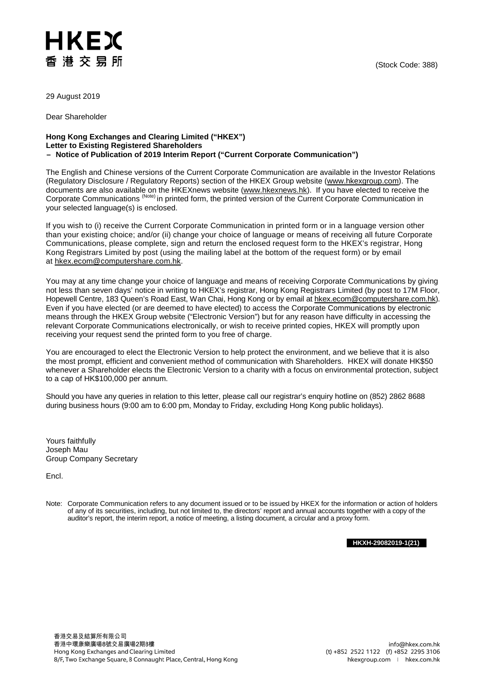## HKEX 香港交易所

29 August 2019

Dear Shareholder

## **Hong Kong Exchanges and Clearing Limited ("HKEX") Letter to Existing Registered Shareholders – Notice of Publication of 2019 Interim Report ("Current Corporate Communication")**

The English and Chinese versions of the Current Corporate Communication are available in the Investor Relations (Regulatory Disclosure / Regulatory Reports) section of the HKEX Group website [\(www.hkexgroup.com\)](https://www.hkexgroup.com/?sc_lang=en). The documents are also available on the HKEXnews website [\(www.hkexnews.hk\)](https://www.hkexnews.hk/). If you have elected to receive the Corporate Communications (Note) in printed form, the printed version of the Current Corporate Communication in your selected language(s) is enclosed.

If you wish to (i) receive the Current Corporate Communication in printed form or in a language version other than your existing choice; and/or (ii) change your choice of language or means of receiving all future Corporate Communications, please complete, sign and return the enclosed request form to the HKEX's registrar, Hong Kong Registrars Limited by post (using the mailing label at the bottom of the request form) or by email at [hkex.ecom@computershare.com.hk.](mailto:hkex.ecom@computershare.com.hk)

You may at any time change your choice of language and means of receiving Corporate Communications by giving not less than seven days' notice in writing to HKEX's registrar, Hong Kong Registrars Limited (by post to 17M Floor, Hopewell Centre, 183 Queen's Road East, Wan Chai, Hong Kong or by email a[t hkex.ecom@computershare.com.hk\)](mailto:hkex.ecom@computershare.com.hk). Even if you have elected (or are deemed to have elected) to access the Corporate Communications by electronic means through the HKEX Group website ("Electronic Version") but for any reason have difficulty in accessing the relevant Corporate Communications electronically, or wish to receive printed copies, HKEX will promptly upon receiving your request send the printed form to you free of charge.

You are encouraged to elect the Electronic Version to help protect the environment, and we believe that it is also the most prompt, efficient and convenient method of communication with Shareholders. HKEX will donate HK\$50 whenever a Shareholder elects the Electronic Version to a charity with a focus on environmental protection, subject to a cap of HK\$100,000 per annum.

Should you have any queries in relation to this letter, please call our registrar's enquiry hotline on (852) 2862 8688 during business hours (9:00 am to 6:00 pm, Monday to Friday, excluding Hong Kong public holidays).

Yours faithfully Joseph Mau Group Company Secretary

Encl.

Note: Corporate Communication refers to any document issued or to be issued by HKEX for the information or action of holders of any of its securities, including, but not limited to, the directors' report and annual accounts together with a copy of the auditor's report, the interim report, a notice of meeting, a listing document, a circular and a proxy form.

**HKXH-29082019-1(21)**